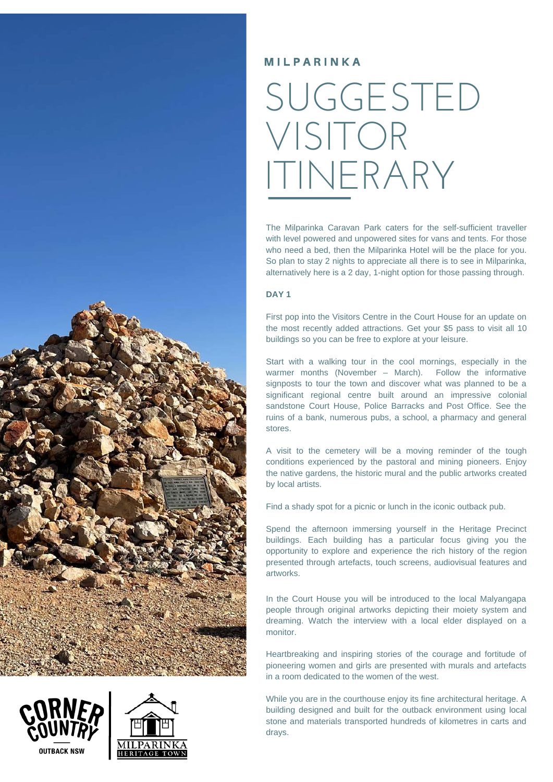



## SUGGESTED VISITOR ITINERARY

The Milparinka Caravan Park caters for the self-sufficient traveller with level powered and unpowered sites for vans and tents. For those who need a bed, then the Milparinka Hotel will be the place for you. So plan to stay 2 nights to appreciate all there is to see in Milparinka. alternatively here is a 2 day, 1-night option for those passing through.

## **DAY 1**

First pop into the Visitors Centre in the Court House for an update on the most recently added attractions. Get your \$5 pass to visit all 10 buildings so you can be free to explore at your leisure.

Start with a walking tour in the cool mornings, especially in the warmer months (November – March). Follow the informative signposts to tour the town and discover what was planned to be a significant regional centre built around an impressive colonial sandstone Court House, Police Barracks and Post Office. See the ruins of a bank, numerous pubs, a school, a pharmacy and general stores.

A visit to the cemetery will be a moving reminder of the tough conditions experienced by the pastoral and mining pioneers. Enjoy the native gardens, the historic mural and the public artworks created by local artists.

Find a shady spot for a picnic or lunch in the iconic outback pub.

Spend the afternoon immersing yourself in the Heritage Precinct buildings. Each building has a particular focus giving you the opportunity to explore and experience the rich history of the region presented through artefacts, touch screens, audiovisual features and artworks.

In the Court House you will be introduced to the local Malyangapa people through original artworks depicting their moiety system and dreaming. Watch the interview with a local elder displayed on a monitor.

Heartbreaking and inspiring stories of the courage and fortitude of pioneering women and girls are presented with murals and artefacts in a room dedicated to the women of the west.

While you are in the courthouse enjoy its fine architectural heritage. A building designed and built for the outback environment using local stone and materials transported hundreds of kilometres in carts and drays.